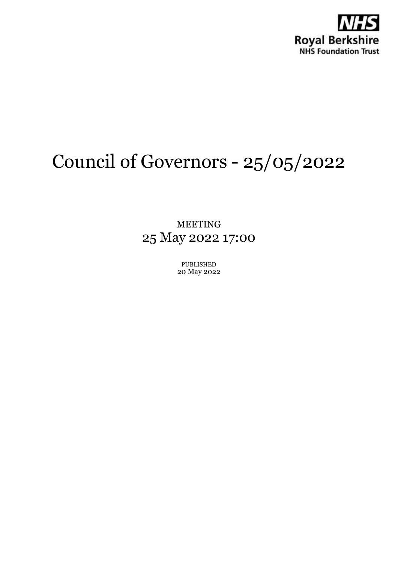

# Council of Governors - 25/05/2022

MEETING 25 May 2022 17:00

> PUBLISHED 20 May 2022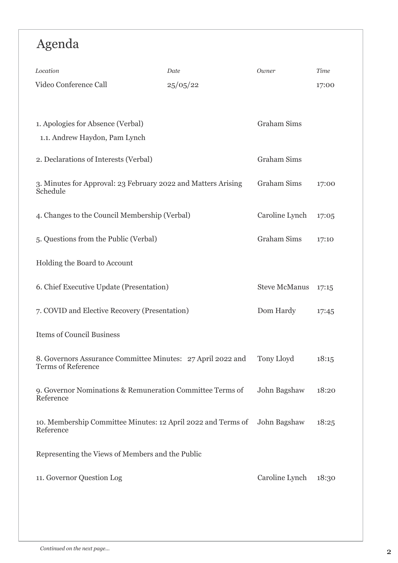# Agenda

| Location                                                                                 | Date         | Owner                | Time  |
|------------------------------------------------------------------------------------------|--------------|----------------------|-------|
| Video Conference Call                                                                    | 25/05/22     |                      | 17:00 |
|                                                                                          |              |                      |       |
| 1. Apologies for Absence (Verbal)<br>1.1. Andrew Haydon, Pam Lynch                       |              | <b>Graham Sims</b>   |       |
|                                                                                          |              |                      |       |
| 2. Declarations of Interests (Verbal)                                                    |              | <b>Graham Sims</b>   |       |
| 3. Minutes for Approval: 23 February 2022 and Matters Arising<br>Schedule                |              | <b>Graham Sims</b>   | 17:00 |
| 4. Changes to the Council Membership (Verbal)                                            |              | Caroline Lynch       | 17:05 |
| 5. Questions from the Public (Verbal)                                                    |              | <b>Graham Sims</b>   | 17:10 |
| Holding the Board to Account                                                             |              |                      |       |
| 6. Chief Executive Update (Presentation)                                                 |              | <b>Steve McManus</b> | 17:15 |
| 7. COVID and Elective Recovery (Presentation)                                            | Dom Hardy    | 17:45                |       |
| <b>Items of Council Business</b>                                                         |              |                      |       |
| 8. Governors Assurance Committee Minutes: 27 April 2022 and<br><b>Terms of Reference</b> |              | Tony Lloyd           | 18:15 |
| 9. Governor Nominations & Remuneration Committee Terms of<br>Reference                   | John Bagshaw | 18:20                |       |
| 10. Membership Committee Minutes: 12 April 2022 and Terms of<br>Reference                |              | John Bagshaw         | 18:25 |
| Representing the Views of Members and the Public                                         |              |                      |       |
| 11. Governor Question Log                                                                |              | Caroline Lynch       | 18:30 |
|                                                                                          |              |                      |       |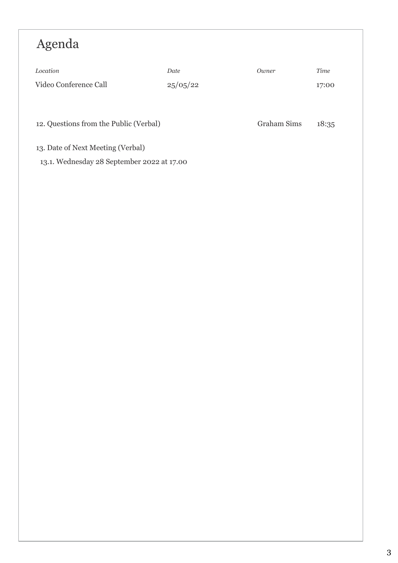# Agenda

| Location                                   | Date     | Owner              | Time  |  |  |
|--------------------------------------------|----------|--------------------|-------|--|--|
| Video Conference Call                      | 25/05/22 |                    | 17:00 |  |  |
|                                            |          |                    |       |  |  |
|                                            |          |                    |       |  |  |
| 12. Questions from the Public (Verbal)     |          | <b>Graham Sims</b> | 18:35 |  |  |
|                                            |          |                    |       |  |  |
| 13. Date of Next Meeting (Verbal)          |          |                    |       |  |  |
| 13.1. Wednesday 28 September 2022 at 17.00 |          |                    |       |  |  |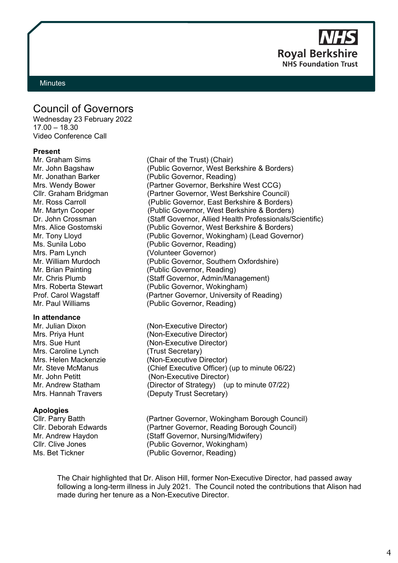**Royal Berkshire NHS Foundation Trust** 

#### <span id="page-3-0"></span>**Minutes**

# Council of Governors

Wednesday 23 February 2022 17.00 – 18.30 Video Conference Call

# **Present**

Mr. Graham Sims (Chair of the Trust) (Chair) Mrs. Pam Lynch (Volunteer Governor)<br>Mr William Murdoch (Public Governor, Sou Mr. Paul Williams (Public Governor, Reading)

#### **In attendance**

Mrs. Caroline Lynch (Trust Secretary)

### **Apologies**

Mr. John Bagshaw (Public Governor, West Berkshire & Borders) Mr. Jonathan Barker (Public Governor, Reading) Mrs. Wendy Bower (Partner Governor, Berkshire West CCG) Cllr. Graham Bridgman (Partner Governor, West Berkshire Council) Mr. Ross Carroll (Public Governor, East Berkshire & Borders) Mr. Martyn Cooper (Public Governor, West Berkshire & Borders) Dr. John Crossman (Staff Governor, Allied Health Professionals/Scientific) Mrs. Alice Gostomski (Public Governor, West Berkshire & Borders) Mr. Tony Lloyd (Public Governor, Wokingham) (Lead Governor) Ms. Sunila Lobo (Public Governor, Reading) Mr. William Murdoch (Public Governor, Southern Oxfordshire)<br>Mr. Brian Painting (Public Governor, Reading) (Public Governor, Reading) Mr. Chris Plumb (Staff Governor, Admin/Management) Mrs. Roberta Stewart (Public Governor, Wokingham) Prof. Carol Wagstaff (Partner Governor, University of Reading)

Mr. Julian Dixon (Non-Executive Director) Mrs. Priva Hunt (Non-Executive Director) Mrs. Sue Hunt (Non-Executive Director) Mrs. Helen Mackenzie (Non-Executive Director) Mr. Steve McManus (Chief Executive Officer) (up to minute 06/22) Mr. John Petitt (Non-Executive Director) Mr. Andrew Statham (Director of Strategy) (up to minute 07/22) Mrs. Hannah Travers (Deputy Trust Secretary)

Cllr. Parry Batth (Partner Governor, Wokingham Borough Council) Cllr. Deborah Edwards (Partner Governor, Reading Borough Council) Mr. Andrew Haydon (Staff Governor, Nursing/Midwifery) Cllr. Clive Jones (Public Governor, Wokingham) Ms. Bet Tickner (Public Governor, Reading)

The Chair highlighted that Dr. Alison Hill, former Non-Executive Director, had passed away following a long-term illness in July 2021. The Council noted the contributions that Alison had made during her tenure as a Non-Executive Director.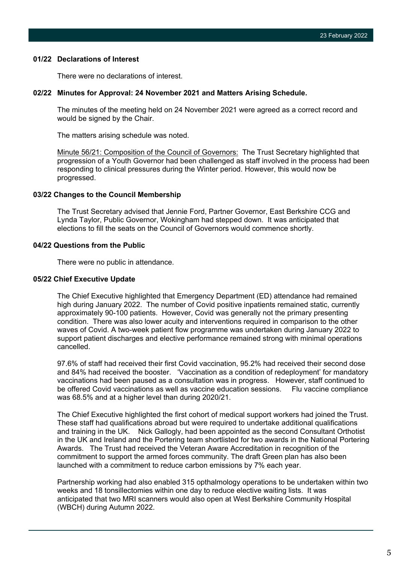#### **01/22 Declarations of Interest**

There were no declarations of interest.

#### **02/22 Minutes for Approval: 24 November 2021 and Matters Arising Schedule.**

The minutes of the meeting held on 24 November 2021 were agreed as a correct record and would be signed by the Chair.

The matters arising schedule was noted.

Minute 56/21: Composition of the Council of Governors: The Trust Secretary highlighted that progression of a Youth Governor had been challenged as staff involved in the process had been responding to clinical pressures during the Winter period. However, this would now be progressed.

### **03/22 Changes to the Council Membership**

The Trust Secretary advised that Jennie Ford, Partner Governor, East Berkshire CCG and Lynda Taylor, Public Governor, Wokingham had stepped down. It was anticipated that elections to fill the seats on the Council of Governors would commence shortly.

# **04/22 Questions from the Public**

There were no public in attendance.

#### **05/22 Chief Executive Update**

The Chief Executive highlighted that Emergency Department (ED) attendance had remained high during January 2022. The number of Covid positive inpatients remained static, currently approximately 90-100 patients. However, Covid was generally not the primary presenting condition. There was also lower acuity and interventions required in comparison to the other waves of Covid. A two-week patient flow programme was undertaken during January 2022 to support patient discharges and elective performance remained strong with minimal operations cancelled.

97.6% of staff had received their first Covid vaccination, 95.2% had received their second dose and 84% had received the booster. 'Vaccination as a condition of redeployment' for mandatory vaccinations had been paused as a consultation was in progress. However, staff continued to be offered Covid vaccinations as well as vaccine education sessions. Flu vaccine compliance was 68.5% and at a higher level than during 2020/21.

The Chief Executive highlighted the first cohort of medical support workers had joined the Trust. These staff had qualifications abroad but were required to undertake additional qualifications and training in the UK. Nick Gallogly, had been appointed as the second Consultant Orthotist in the UK and Ireland and the Portering team shortlisted for two awards in the National Portering Awards. The Trust had received the Veteran Aware Accreditation in recognition of the commitment to support the armed forces community. The draft Green plan has also been launched with a commitment to reduce carbon emissions by 7% each year.

Partnership working had also enabled 315 opthalmology operations to be undertaken within two weeks and 18 tonsillectomies within one day to reduce elective waiting lists. It was anticipated that two MRI scanners would also open at West Berkshire Community Hospital (WBCH) during Autumn 2022.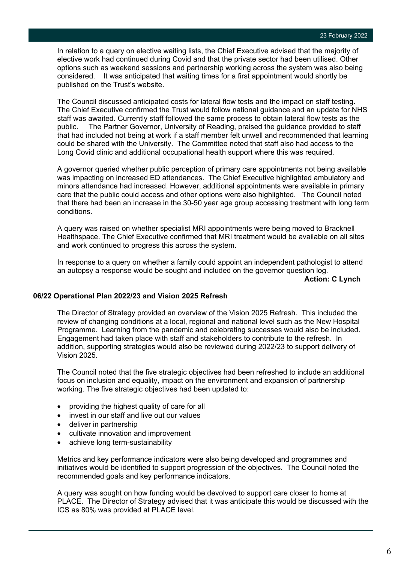In relation to a query on elective waiting lists, the Chief Executive advised that the majority of elective work had continued during Covid and that the private sector had been utilised. Other options such as weekend sessions and partnership working across the system was also being considered. It was anticipated that waiting times for a first appointment would shortly be published on the Trust's website.

The Council discussed anticipated costs for lateral flow tests and the impact on staff testing. The Chief Executive confirmed the Trust would follow national guidance and an update for NHS staff was awaited. Currently staff followed the same process to obtain lateral flow tests as the public. The Partner Governor, University of Reading, praised the guidance provided to staff that had included not being at work if a staff member felt unwell and recommended that learning could be shared with the University. The Committee noted that staff also had access to the Long Covid clinic and additional occupational health support where this was required.

A governor queried whether public perception of primary care appointments not being available was impacting on increased ED attendances. The Chief Executive highlighted ambulatory and minors attendance had increased. However, additional appointments were available in primary care that the public could access and other options were also highlighted. The Council noted that there had been an increase in the 30-50 year age group accessing treatment with long term conditions.

A query was raised on whether specialist MRI appointments were being moved to Bracknell Healthspace. The Chief Executive confirmed that MRI treatment would be available on all sites and work continued to progress this across the system.

In response to a query on whether a family could appoint an independent pathologist to attend an autopsy a response would be sought and included on the governor question log.

**Action: C Lynch**

# **06/22 Operational Plan 2022/23 and Vision 2025 Refresh**

The Director of Strategy provided an overview of the Vision 2025 Refresh. This included the review of changing conditions at a local, regional and national level such as the New Hospital Programme. Learning from the pandemic and celebrating successes would also be included. Engagement had taken place with staff and stakeholders to contribute to the refresh. In addition, supporting strategies would also be reviewed during 2022/23 to support delivery of Vision 2025.

The Council noted that the five strategic objectives had been refreshed to include an additional focus on inclusion and equality, impact on the environment and expansion of partnership working. The five strategic objectives had been updated to:

- providing the highest quality of care for all
- invest in our staff and live out our values
- deliver in partnership
- cultivate innovation and improvement
- achieve long term-sustainability

Metrics and key performance indicators were also being developed and programmes and initiatives would be identified to support progression of the objectives. The Council noted the recommended goals and key performance indicators.

A query was sought on how funding would be devolved to support care closer to home at PLACE. The Director of Strategy advised that it was anticipate this would be discussed with the ICS as 80% was provided at PLACE level.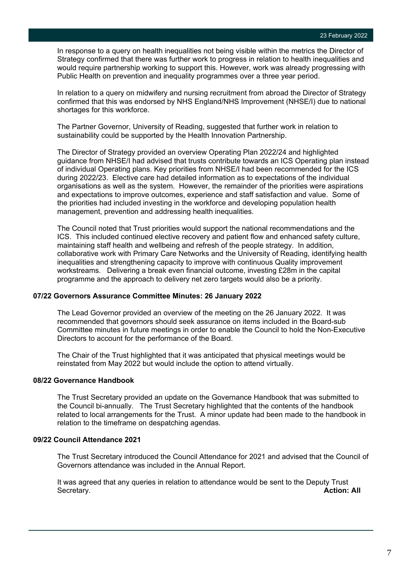In response to a query on health inequalities not being visible within the metrics the Director of Strategy confirmed that there was further work to progress in relation to health inequalities and would require partnership working to support this. However, work was already progressing with Public Health on prevention and inequality programmes over a three year period.

In relation to a query on midwifery and nursing recruitment from abroad the Director of Strategy confirmed that this was endorsed by NHS England/NHS Improvement (NHSE/I) due to national shortages for this workforce.

The Partner Governor, University of Reading, suggested that further work in relation to sustainability could be supported by the Health Innovation Partnership.

The Director of Strategy provided an overview Operating Plan 2022/24 and highlighted guidance from NHSE/I had advised that trusts contribute towards an ICS Operating plan instead of individual Operating plans. Key priorities from NHSE/I had been recommended for the ICS during 2022/23. Elective care had detailed information as to expectations of the individual organisations as well as the system. However, the remainder of the priorities were aspirations and expectations to improve outcomes, experience and staff satisfaction and value. Some of the priorities had included investing in the workforce and developing population health management, prevention and addressing health inequalities.

The Council noted that Trust priorities would support the national recommendations and the ICS. This included continued elective recovery and patient flow and enhanced safety culture, maintaining staff health and wellbeing and refresh of the people strategy. In addition, collaborative work with Primary Care Networks and the University of Reading, identifying health inequalities and strengthening capacity to improve with continuous Quality improvement workstreams. Delivering a break even financial outcome, investing £28m in the capital programme and the approach to delivery net zero targets would also be a priority.

#### **07/22 Governors Assurance Committee Minutes: 26 January 2022**

The Lead Governor provided an overview of the meeting on the 26 January 2022. It was recommended that governors should seek assurance on items included in the Board-sub Committee minutes in future meetings in order to enable the Council to hold the Non-Executive Directors to account for the performance of the Board.

The Chair of the Trust highlighted that it was anticipated that physical meetings would be reinstated from May 2022 but would include the option to attend virtually.

#### **08/22 Governance Handbook**

The Trust Secretary provided an update on the Governance Handbook that was submitted to the Council bi-annually. The Trust Secretary highlighted that the contents of the handbook related to local arrangements for the Trust. A minor update had been made to the handbook in relation to the timeframe on despatching agendas.

#### **09/22 Council Attendance 2021**

The Trust Secretary introduced the Council Attendance for 2021 and advised that the Council of Governors attendance was included in the Annual Report.

It was agreed that any queries in relation to attendance would be sent to the Deputy Trust Secretary. **Action: All**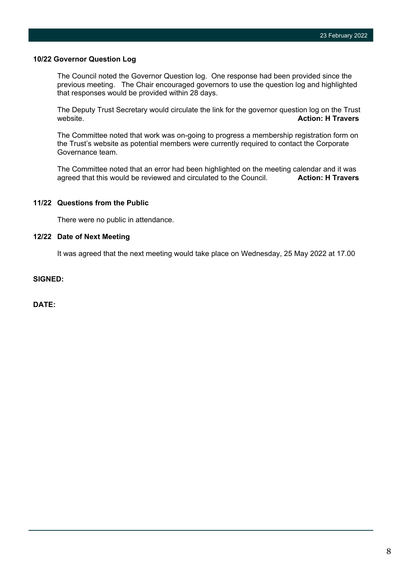#### **10/22 Governor Question Log**

The Council noted the Governor Question log. One response had been provided since the previous meeting. The Chair encouraged governors to use the question log and highlighted that responses would be provided within 28 days.

The Deputy Trust Secretary would circulate the link for the governor question log on the Trust website. **Action: H Travers Action: H Travers** 

The Committee noted that work was on-going to progress a membership registration form on the Trust's website as potential members were currently required to contact the Corporate Governance team.

The Committee noted that an error had been highlighted on the meeting calendar and it was<br>agreed that this would be reviewed and circulated to the Council. **Action: H Travers** agreed that this would be reviewed and circulated to the Council.

# **11/22 Questions from the Public**

There were no public in attendance.

### **12/22 Date of Next Meeting**

It was agreed that the next meeting would take place on Wednesday, 25 May 2022 at 17.00

# **SIGNED:**

**DATE:**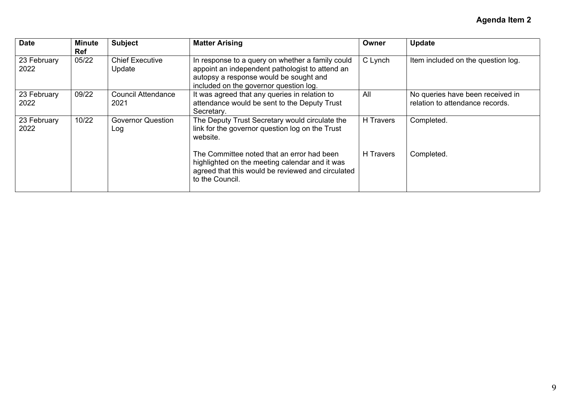| <b>Date</b>         | <b>Minute</b><br><b>Ref</b> | <b>Subject</b>                    | <b>Matter Arising</b>                                                                                                                                                                   | Owner     | <b>Update</b>                                                       |
|---------------------|-----------------------------|-----------------------------------|-----------------------------------------------------------------------------------------------------------------------------------------------------------------------------------------|-----------|---------------------------------------------------------------------|
| 23 February<br>2022 | 05/22                       | <b>Chief Executive</b><br>Update  | In response to a query on whether a family could<br>appoint an independent pathologist to attend an<br>autopsy a response would be sought and<br>included on the governor question log. | C Lynch   | Item included on the question log.                                  |
| 23 February<br>2022 | 09/22                       | <b>Council Attendance</b><br>2021 | It was agreed that any queries in relation to<br>attendance would be sent to the Deputy Trust<br>Secretary.                                                                             | All       | No queries have been received in<br>relation to attendance records. |
| 23 February<br>2022 | 10/22                       | <b>Governor Question</b><br>Log   | The Deputy Trust Secretary would circulate the<br>link for the governor question log on the Trust<br>website.                                                                           | H Travers | Completed.                                                          |
|                     |                             |                                   | The Committee noted that an error had been<br>highlighted on the meeting calendar and it was<br>agreed that this would be reviewed and circulated<br>to the Council.                    | H Travers | Completed.                                                          |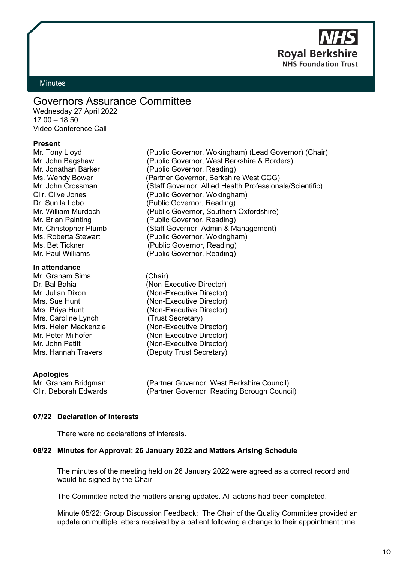**Roval Berkshi NHS Foundation Trust** 

# <span id="page-9-0"></span>**Minutes**

# Governors Assurance Committee

Wednesday 27 April 2022 17.00 – 18.50 Video Conference Call

#### **Present**

Mr. Tony Lloyd (Public Governor, Wokingham) (Lead Governor) (Chair)

#### **In attendance**

Mr. Graham Sims (Chair)<br>Dr. Bal Bahia (Non-E Mrs. Caroline Lynch (Trust Secretary)

Mr. John Bagshaw (Public Governor, West Berkshire & Borders) Mr. Jonathan Barker (Public Governor, Reading) Ms. Wendy Bower (Partner Governor, Berkshire West CCG) Mr. John Crossman (Staff Governor, Allied Health Professionals/Scientific)<br>Cllr. Clive Jones (Public Governor, Wokingham) (Public Governor, Wokingham) Dr. Sunila Lobo (Public Governor, Reading) Mr. William Murdoch (Public Governor, Southern Oxfordshire) Mr. Brian Painting (Public Governor, Reading) Mr. Christopher Plumb (Staff Governor, Admin & Management) Ms. Roberta Stewart (Public Governor, Wokingham)<br>Ms. Bet Tickner (Public Governor, Reading) (Public Governor, Reading) Mr. Paul Williams (Public Governor, Reading)

(Non-Executive Director) Mr. Julian Dixon (Non-Executive Director) Mrs. Sue Hunt (Non-Executive Director) Mrs. Priya Hunt (Non-Executive Director) Mrs. Helen Mackenzie (Non-Executive Director)<br>Mr. Peter Milhofer (Non-Executive Director) (Non-Executive Director) Mr. John Petitt (Non-Executive Director) Mrs. Hannah Travers (Deputy Trust Secretary)

### **Apologies**

Mr. Graham Bridgman (Partner Governor, West Berkshire Council)<br>Cllr. Deborah Edwards (Partner Governor, Reading Borough Counc (Partner Governor, Reading Borough Council)

### **07/22 Declaration of Interests**

There were no declarations of interests.

### **08/22 Minutes for Approval: 26 January 2022 and Matters Arising Schedule**

The minutes of the meeting held on 26 January 2022 were agreed as a correct record and would be signed by the Chair.

The Committee noted the matters arising updates. All actions had been completed.

Minute 05/22: Group Discussion Feedback: The Chair of the Quality Committee provided an update on multiple letters received by a patient following a change to their appointment time.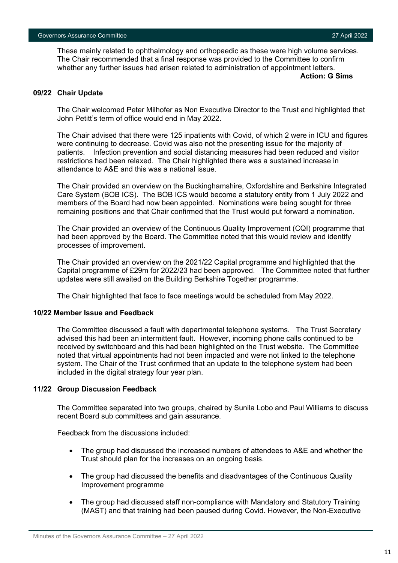These mainly related to ophthalmology and orthopaedic as these were high volume services. The Chair recommended that a final response was provided to the Committee to confirm whether any further issues had arisen related to administration of appointment letters.

**Action: G Sims**

# **09/22 Chair Update**

The Chair welcomed Peter Milhofer as Non Executive Director to the Trust and highlighted that John Petitt's term of office would end in May 2022.

The Chair advised that there were 125 inpatients with Covid, of which 2 were in ICU and figures were continuing to decrease. Covid was also not the presenting issue for the majority of patients. Infection prevention and social distancing measures had been reduced and visitor restrictions had been relaxed. The Chair highlighted there was a sustained increase in attendance to A&E and this was a national issue.

The Chair provided an overview on the Buckinghamshire, Oxfordshire and Berkshire Integrated Care System (BOB ICS). The BOB ICS would become a statutory entity from 1 July 2022 and members of the Board had now been appointed. Nominations were being sought for three remaining positions and that Chair confirmed that the Trust would put forward a nomination.

The Chair provided an overview of the Continuous Quality Improvement (CQI) programme that had been approved by the Board. The Committee noted that this would review and identify processes of improvement.

The Chair provided an overview on the 2021/22 Capital programme and highlighted that the Capital programme of £29m for 2022/23 had been approved. The Committee noted that further updates were still awaited on the Building Berkshire Together programme.

The Chair highlighted that face to face meetings would be scheduled from May 2022.

### **10/22 Member Issue and Feedback**

The Committee discussed a fault with departmental telephone systems. The Trust Secretary advised this had been an intermittent fault. However, incoming phone calls continued to be received by switchboard and this had been highlighted on the Trust website. The Committee noted that virtual appointments had not been impacted and were not linked to the telephone system. The Chair of the Trust confirmed that an update to the telephone system had been included in the digital strategy four year plan.

### **11/22 Group Discussion Feedback**

The Committee separated into two groups, chaired by Sunila Lobo and Paul Williams to discuss recent Board sub committees and gain assurance.

Feedback from the discussions included:

- The group had discussed the increased numbers of attendees to A&E and whether the Trust should plan for the increases on an ongoing basis.
- The group had discussed the benefits and disadvantages of the Continuous Quality Improvement programme
- The group had discussed staff non-compliance with Mandatory and Statutory Training (MAST) and that training had been paused during Covid. However, the Non-Executive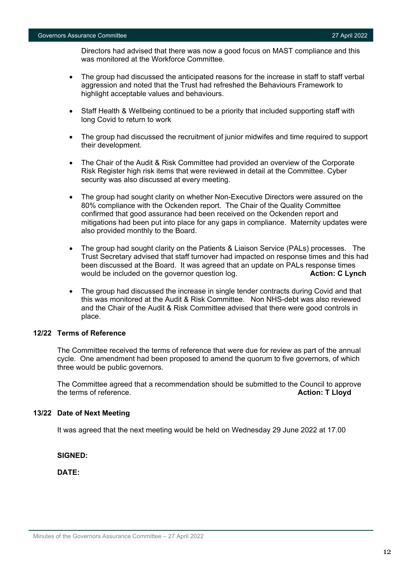Directors had advised that there was now a good focus on MAST compliance and this was monitored at the Workforce Committee.

- The group had discussed the anticipated reasons for the increase in staff to staff verbal aggression and noted that the Trust had refreshed the Behaviours Framework to highlight acceptable values and behaviours.
- Staff Health & Wellbeing continued to be a priority that included supporting staff with long Covid to return to work
- The group had discussed the recruitment of junior midwifes and time required to support their development.
- The Chair of the Audit & Risk Committee had provided an overview of the Corporate Risk Register high risk items that were reviewed in detail at the Committee. Cyber security was also discussed at every meeting.
- The group had sought clarity on whether Non-Executive Directors were assured on the 80% compliance with the Ockenden report. The Chair of the Quality Committee confirmed that good assurance had been received on the Ockenden report and mitigations had been put into place for any gaps in compliance. Maternity updates were also provided monthly to the Board.
- The group had sought clarity on the Patients & Liaison Service (PALs) processes. The Trust Secretary advised that staff turnover had impacted on response times and this had been discussed at the Board. It was agreed that an update on PALs response times would be included on the governor question log. **Action: C Lynch**
- The group had discussed the increase in single tender contracts during Covid and that this was monitored at the Audit & Risk Committee. Non NHS-debt was also reviewed and the Chair of the Audit & Risk Committee advised that there were good controls in place.

# **12/22 Terms of Reference**

The Committee received the terms of reference that were due for review as part of the annual cycle. One amendment had been proposed to amend the quorum to five governors, of which three would be public governors.

The Committee agreed that a recommendation should be submitted to the Council to approve the terms of reference. **Action: T Lloyd**

### **13/22 Date of Next Meeting**

It was agreed that the next meeting would be held on Wednesday 29 June 2022 at 17.00

**SIGNED:**

**DATE:**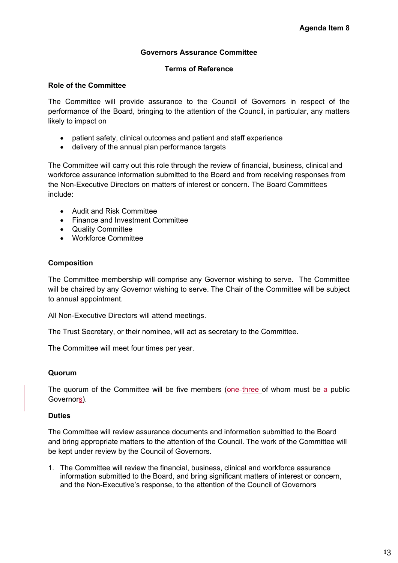# **Governors Assurance Committee**

# **Terms of Reference**

# **Role of the Committee**

The Committee will provide assurance to the Council of Governors in respect of the performance of the Board, bringing to the attention of the Council, in particular, any matters likely to impact on

- patient safety, clinical outcomes and patient and staff experience
- delivery of the annual plan performance targets

The Committee will carry out this role through the review of financial, business, clinical and workforce assurance information submitted to the Board and from receiving responses from the Non-Executive Directors on matters of interest or concern. The Board Committees include:

- Audit and Risk Committee
- Finance and Investment Committee
- Quality Committee
- Workforce Committee

# **Composition**

The Committee membership will comprise any Governor wishing to serve. The Committee will be chaired by any Governor wishing to serve.The Chair of the Committee will be subject to annual appointment.

All Non-Executive Directors will attend meetings.

The Trust Secretary, or their nominee, will act as secretary to the Committee.

The Committee will meet four times per year.

# **Quorum**

The quorum of the Committee will be five members (one three of whom must be a public Governors).

# **Duties**

The Committee will review assurance documents and information submitted to the Board and bring appropriate matters to the attention of the Council. The work of the Committee will be kept under review by the Council of Governors.

1. The Committee will review the financial, business, clinical and workforce assurance information submitted to the Board, and bring significant matters of interest or concern, and the Non-Executive's response, to the attention of the Council of Governors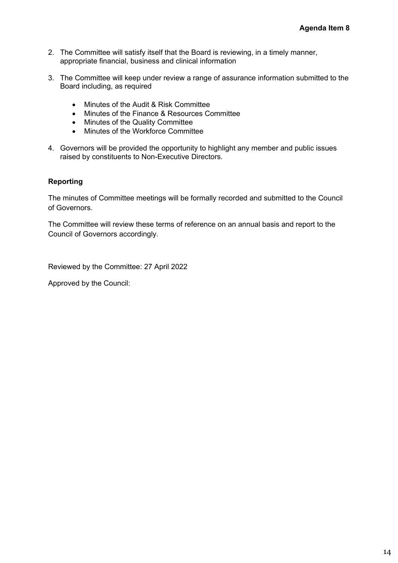- 2. The Committee will satisfy itself that the Board is reviewing, in a timely manner, appropriate financial, business and clinical information
- 3. The Committee will keep under review a range of assurance information submitted to the Board including, as required
	- Minutes of the Audit & Risk Committee
	- Minutes of the Finance & Resources Committee
	- Minutes of the Quality Committee
	- Minutes of the Workforce Committee
- 4. Governors will be provided the opportunity to highlight any member and public issues raised by constituents to Non-Executive Directors.

# **Reporting**

The minutes of Committee meetings will be formally recorded and submitted to the Council of Governors.

The Committee will review these terms of reference on an annual basis and report to the Council of Governors accordingly.

Reviewed by the Committee: 27 April 2022

Approved by the Council: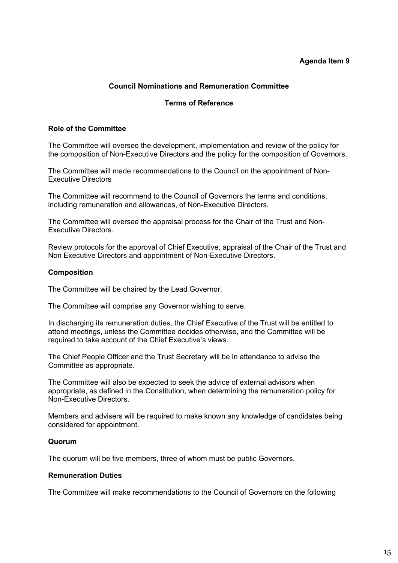# **Agenda Item 9**

# **Council Nominations and Remuneration Committee**

# **Terms of Reference**

# <span id="page-14-0"></span>**Role of the Committee**

The Committee will oversee the development, implementation and review of the policy for the composition of Non-Executive Directors and the policy for the composition of Governors.

The Committee will made recommendations to the Council on the appointment of Non-Executive Directors

The Committee will recommend to the Council of Governors the terms and conditions, including remuneration and allowances, of Non-Executive Directors.

The Committee will oversee the appraisal process for the Chair of the Trust and Non-Executive Directors.

Review protocols for the approval of Chief Executive, appraisal of the Chair of the Trust and Non Executive Directors and appointment of Non-Executive Directors.

# **Composition**

The Committee will be chaired by the Lead Governor.

The Committee will comprise any Governor wishing to serve.

In discharging its remuneration duties, the Chief Executive of the Trust will be entitled to attend meetings, unless the Committee decides otherwise, and the Committee will be required to take account of the Chief Executive's views.

The Chief People Officer and the Trust Secretary will be in attendance to advise the Committee as appropriate.

The Committee will also be expected to seek the advice of external advisors when appropriate, as defined in the Constitution, when determining the remuneration policy for Non-Executive Directors.

Members and advisers will be required to make known any knowledge of candidates being considered for appointment.

### **Quorum**

The quorum will be five members, three of whom must be public Governors.

### **Remuneration Duties**

The Committee will make recommendations to the Council of Governors on the following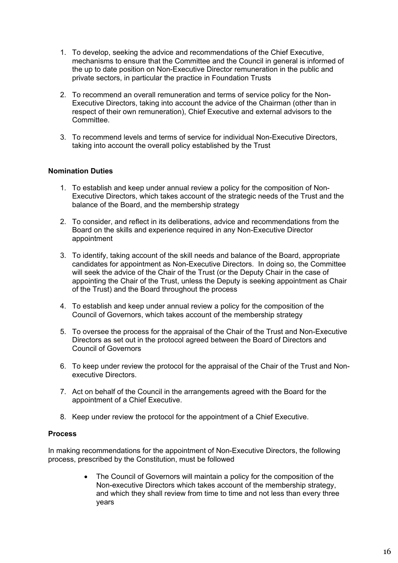- 1. To develop, seeking the advice and recommendations of the Chief Executive, mechanisms to ensure that the Committee and the Council in general is informed of the up to date position on Non-Executive Director remuneration in the public and private sectors, in particular the practice in Foundation Trusts
- 2. To recommend an overall remuneration and terms of service policy for the Non-Executive Directors, taking into account the advice of the Chairman (other than in respect of their own remuneration), Chief Executive and external advisors to the Committee.
- 3. To recommend levels and terms of service for individual Non-Executive Directors, taking into account the overall policy established by the Trust

# **Nomination Duties**

- 1. To establish and keep under annual review a policy for the composition of Non-Executive Directors, which takes account of the strategic needs of the Trust and the balance of the Board, and the membership strategy
- 2. To consider, and reflect in its deliberations, advice and recommendations from the Board on the skills and experience required in any Non-Executive Director appointment
- 3. To identify, taking account of the skill needs and balance of the Board, appropriate candidates for appointment as Non-Executive Directors. In doing so, the Committee will seek the advice of the Chair of the Trust (or the Deputy Chair in the case of appointing the Chair of the Trust, unless the Deputy is seeking appointment as Chair of the Trust) and the Board throughout the process
- 4. To establish and keep under annual review a policy for the composition of the Council of Governors, which takes account of the membership strategy
- 5. To oversee the process for the appraisal of the Chair of the Trust and Non-Executive Directors as set out in the protocol agreed between the Board of Directors and Council of Governors
- 6. To keep under review the protocol for the appraisal of the Chair of the Trust and Nonexecutive Directors.
- 7. Act on behalf of the Council in the arrangements agreed with the Board for the appointment of a Chief Executive.
- 8. Keep under review the protocol for the appointment of a Chief Executive.

# **Process**

In making recommendations for the appointment of Non-Executive Directors, the following process, prescribed by the Constitution, must be followed

> • The Council of Governors will maintain a policy for the composition of the Non-executive Directors which takes account of the membership strategy, and which they shall review from time to time and not less than every three years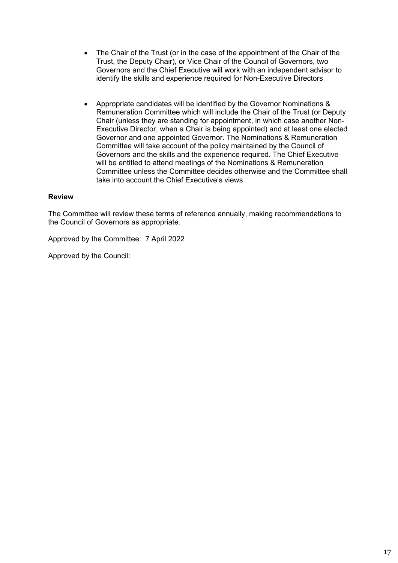- The Chair of the Trust (or in the case of the appointment of the Chair of the Trust, the Deputy Chair), or Vice Chair of the Council of Governors, two Governors and the Chief Executive will work with an independent advisor to identify the skills and experience required for Non-Executive Directors
- Appropriate candidates will be identified by the Governor Nominations & Remuneration Committee which will include the Chair of the Trust (or Deputy Chair (unless they are standing for appointment, in which case another Non-Executive Director, when a Chair is being appointed) and at least one elected Governor and one appointed Governor. The Nominations & Remuneration Committee will take account of the policy maintained by the Council of Governors and the skills and the experience required. The Chief Executive will be entitled to attend meetings of the Nominations & Remuneration Committee unless the Committee decides otherwise and the Committee shall take into account the Chief Executive's views

# **Review**

The Committee will review these terms of reference annually, making recommendations to the Council of Governors as appropriate.

Approved by the Committee: 7 April 2022

Approved by the Council: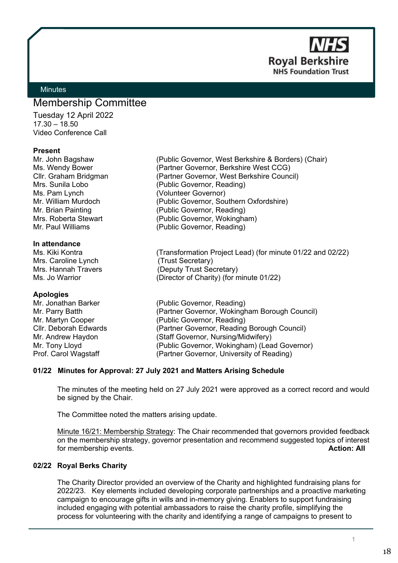**Royal Berkshire NHS Foundation Trust** 

# <span id="page-17-0"></span>**Minutes**

# Membership Committee

Tuesday 12 April 2022  $17.30 - 18.50$ Video Conference Call

### **Present**

Ms. Pam Lynch (Volunteer Governor)

#### **In attendance**

Mrs. Caroline Lynch (Trust Secretary)

**Apologies**

Mr. John Bagshaw (Public Governor, West Berkshire & Borders) (Chair) Ms. Wendy Bower (Partner Governor, Berkshire West CCG) Cllr. Graham Bridgman (Partner Governor, West Berkshire Council) Mrs. Sunila Lobo (Public Governor, Reading) Mr. William Murdoch (Public Governor, Southern Oxfordshire) Mr. Brian Painting (Public Governor, Reading) Mrs. Roberta Stewart (Public Governor, Wokingham) Mr. Paul Williams (Public Governor, Reading)

Ms. Kiki Kontra (Transformation Project Lead) (for minute 01/22 and 02/22) Mrs. Hannah Travers (Deputy Trust Secretary) Ms. Jo Warrior (Director of Charity) (for minute 01/22)

(Public Governor, Reading) Mr. Parry Batth (Partner Governor, Wokingham Borough Council) Mr. Martyn Cooper (Public Governor, Reading) Cllr. Deborah Edwards (Partner Governor, Reading Borough Council) Mr. Andrew Haydon (Staff Governor, Nursing/Midwifery) Mr. Tony Lloyd (Public Governor, Wokingham) (Lead Governor) Prof. Carol Wagstaff (Partner Governor, University of Reading)

### **01/22 Minutes for Approval: 27 July 2021 and Matters Arising Schedule**

The minutes of the meeting held on 27 July 2021 were approved as a correct record and would be signed by the Chair.

The Committee noted the matters arising update.

Minute 16/21: Membership Strategy: The Chair recommended that governors provided feedback on the membership strategy, governor presentation and recommend suggested topics of interest for membership events. **Action: All**

# **02/22 Royal Berks Charity**

The Charity Director provided an overview of the Charity and highlighted fundraising plans for 2022/23. Key elements included developing corporate partnerships and a proactive marketing campaign to encourage gifts in wills and in-memory giving. Enablers to support fundraising included engaging with potential ambassadors to raise the charity profile, simplifying the process for volunteering with the charity and identifying a range of campaigns to present to

1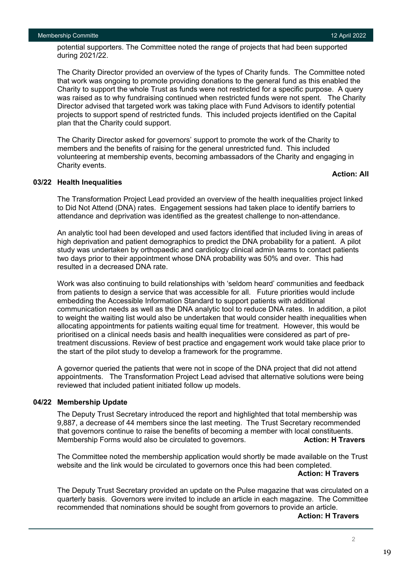potential supporters. The Committee noted the range of projects that had been supported during 2021/22.

The Charity Director provided an overview of the types of Charity funds. The Committee noted that work was ongoing to promote providing donations to the general fund as this enabled the Charity to support the whole Trust as funds were not restricted for a specific purpose. A query was raised as to why fundraising continued when restricted funds were not spent. The Charity Director advised that targeted work was taking place with Fund Advisors to identify potential projects to support spend of restricted funds. This included projects identified on the Capital plan that the Charity could support.

The Charity Director asked for governors' support to promote the work of the Charity to members and the benefits of raising for the general unrestricted fund. This included volunteering at membership events, becoming ambassadors of the Charity and engaging in Charity events.

# **Action: All**

### **03/22 Health Inequalities**

The Transformation Project Lead provided an overview of the health inequalities project linked to Did Not Attend (DNA) rates. Engagement sessions had taken place to identify barriers to attendance and deprivation was identified as the greatest challenge to non-attendance.

An analytic tool had been developed and used factors identified that included living in areas of high deprivation and patient demographics to predict the DNA probability for a patient. A pilot study was undertaken by orthopaedic and cardiology clinical admin teams to contact patients two days prior to their appointment whose DNA probability was 50% and over. This had resulted in a decreased DNA rate.

Work was also continuing to build relationships with 'seldom heard' communities and feedback from patients to design a service that was accessible for all. Future priorities would include embedding the Accessible Information Standard to support patients with additional communication needs as well as the DNA analytic tool to reduce DNA rates. In addition, a pilot to weight the waiting list would also be undertaken that would consider health inequalities when allocating appointments for patients waiting equal time for treatment. However, this would be prioritised on a clinical needs basis and health inequalities were considered as part of pretreatment discussions. Review of best practice and engagement work would take place prior to the start of the pilot study to develop a framework for the programme.

A governor queried the patients that were not in scope of the DNA project that did not attend appointments. The Transformation Project Lead advised that alternative solutions were being reviewed that included patient initiated follow up models.

### **04/22 Membership Update**

The Deputy Trust Secretary introduced the report and highlighted that total membership was 9,887, a decrease of 44 members since the last meeting. The Trust Secretary recommended that governors continue to raise the benefits of becoming a member with local constituents. Membership Forms would also be circulated to governors. **Action: H Travers**

The Committee noted the membership application would shortly be made available on the Trust website and the link would be circulated to governors once this had been completed.

#### **Action: H Travers**

The Deputy Trust Secretary provided an update on the Pulse magazine that was circulated on a quarterly basis. Governors were invited to include an article in each magazine. The Committee recommended that nominations should be sought from governors to provide an article.

**Action: H Travers** 

2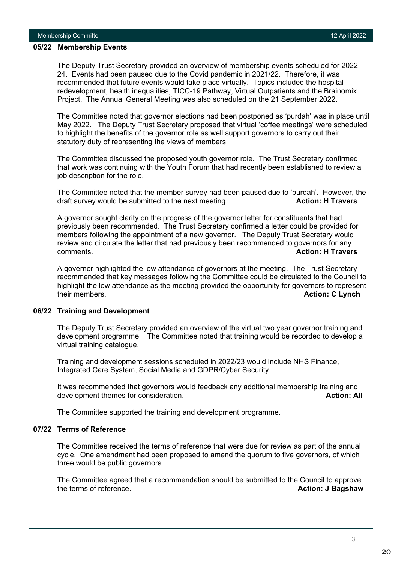#### **05/22 Membership Events**

The Deputy Trust Secretary provided an overview of membership events scheduled for 2022- 24. Events had been paused due to the Covid pandemic in 2021/22. Therefore, it was recommended that future events would take place virtually. Topics included the hospital redevelopment, health inequalities, TICC-19 Pathway, Virtual Outpatients and the Brainomix Project. The Annual General Meeting was also scheduled on the 21 September 2022.

The Committee noted that governor elections had been postponed as 'purdah' was in place until May 2022. The Deputy Trust Secretary proposed that virtual 'coffee meetings' were scheduled to highlight the benefits of the governor role as well support governors to carry out their statutory duty of representing the views of members.

The Committee discussed the proposed youth governor role. The Trust Secretary confirmed that work was continuing with the Youth Forum that had recently been established to review a job description for the role.

The Committee noted that the member survey had been paused due to 'purdah'. However, the draft survey would be submitted to the next meeting. **Action: H Travers**

A governor sought clarity on the progress of the governor letter for constituents that had previously been recommended. The Trust Secretary confirmed a letter could be provided for members following the appointment of a new governor. The Deputy Trust Secretary would review and circulate the letter that had previously been recommended to governors for any comments. **Action: H Travers**

A governor highlighted the low attendance of governors at the meeting. The Trust Secretary recommended that key messages following the Committee could be circulated to the Council to highlight the low attendance as the meeting provided the opportunity for governors to represent their members. **Action: C Lynch**

### **06/22 Training and Development**

The Deputy Trust Secretary provided an overview of the virtual two year governor training and development programme. The Committee noted that training would be recorded to develop a virtual training catalogue.

Training and development sessions scheduled in 2022/23 would include NHS Finance, Integrated Care System, Social Media and GDPR/Cyber Security.

It was recommended that governors would feedback any additional membership training and development themes for consideration. **Action: All Action: All Action: All** 

The Committee supported the training and development programme.

# **07/22 Terms of Reference**

The Committee received the terms of reference that were due for review as part of the annual cycle. One amendment had been proposed to amend the quorum to five governors, of which three would be public governors.

The Committee agreed that a recommendation should be submitted to the Council to approve the terms of reference. **Action: J Bagshaw**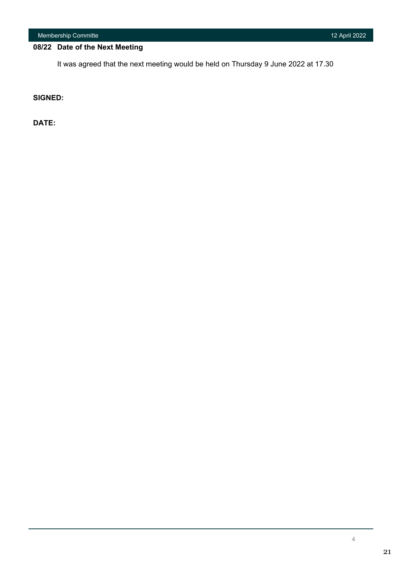Membership Committe 12 April 2022

# **08/22 Date of the Next Meeting**

It was agreed that the next meeting would be held on Thursday 9 June 2022 at 17.30

**SIGNED:** 

**DATE:**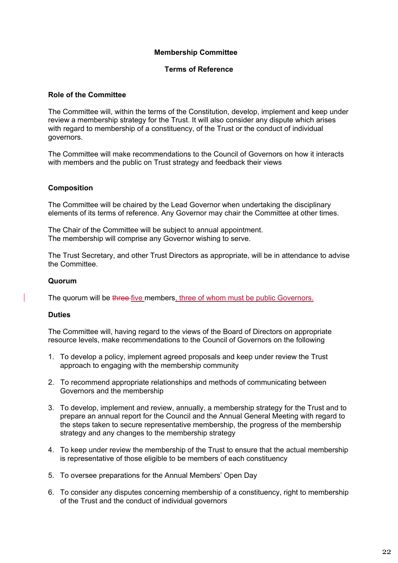# **Membership Committee**

# **Terms of Reference**

# **Role of the Committee**

The Committee will, within the terms of the Constitution, develop, implement and keep under review a membership strategy for the Trust. It will also consider any dispute which arises with regard to membership of a constituency, of the Trust or the conduct of individual governors.

The Committee will make recommendations to the Council of Governors on how it interacts with members and the public on Trust strategy and feedback their views

# **Composition**

The Committee will be chaired by the Lead Governor when undertaking the disciplinary elements of its terms of reference. Any Governor may chair the Committee at other times.

The Chair of the Committee will be subject to annual appointment. The membership will comprise any Governor wishing to serve.

The Trust Secretary, and other Trust Directors as appropriate, will be in attendance to advise the Committee.

# **Quorum**

The quorum will be three five members, three of whom must be public Governors.

# **Duties**

The Committee will, having regard to the views of the Board of Directors on appropriate resource levels, make recommendations to the Council of Governors on the following

- 1. To develop a policy, implement agreed proposals and keep under review the Trust approach to engaging with the membership community
- 2. To recommend appropriate relationships and methods of communicating between Governors and the membership
- 3. To develop, implement and review, annually, a membership strategy for the Trust and to prepare an annual report for the Council and the Annual General Meeting with regard to the steps taken to secure representative membership, the progress of the membership strategy and any changes to the membership strategy
- 4. To keep under review the membership of the Trust to ensure that the actual membership is representative of those eligible to be members of each constituency
- 5. To oversee preparations for the Annual Members' Open Day
- 6. To consider any disputes concerning membership of a constituency, right to membership of the Trust and the conduct of individual governors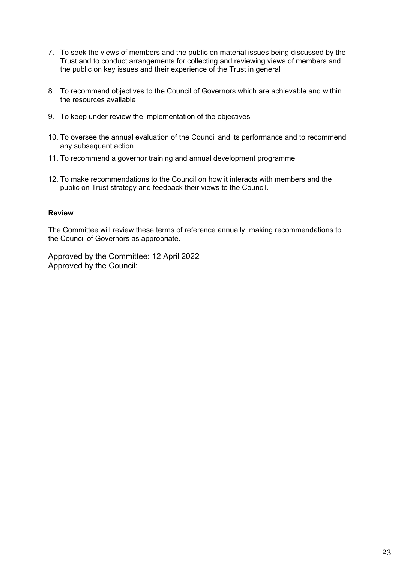- 7. To seek the views of members and the public on material issues being discussed by the Trust and to conduct arrangements for collecting and reviewing views of members and the public on key issues and their experience of the Trust in general
- 8. To recommend objectives to the Council of Governors which are achievable and within the resources available
- 9. To keep under review the implementation of the objectives
- 10. To oversee the annual evaluation of the Council and its performance and to recommend any subsequent action
- 11. To recommend a governor training and annual development programme
- 12. To make recommendations to the Council on how it interacts with members and the public on Trust strategy and feedback their views to the Council.

# **Review**

The Committee will review these terms of reference annually, making recommendations to the Council of Governors as appropriate.

Approved by the Committee: 12 April 2022 Approved by the Council: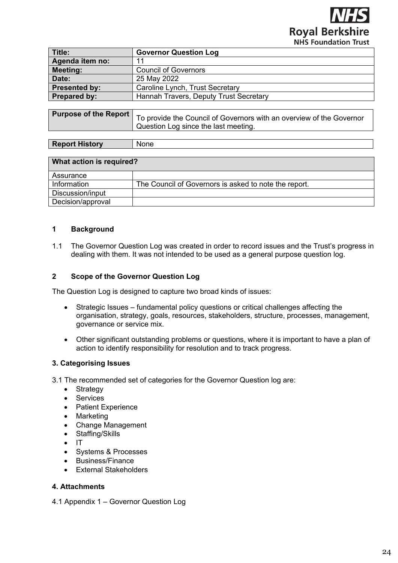**Royal Berkshire NHS Foundation Trust** 

<span id="page-23-0"></span>

| Title:               | <b>Governor Question Log</b>           |
|----------------------|----------------------------------------|
| Agenda item no:      | 11                                     |
| <b>Meeting:</b>      | <b>Council of Governors</b>            |
| Date:                | 25 May 2022                            |
| <b>Presented by:</b> | Caroline Lynch, Trust Secretary        |
| <b>Prepared by:</b>  | Hannah Travers, Deputy Trust Secretary |
|                      |                                        |
|                      |                                        |

| Aurpose of the Report   To provide the Council of Governors with an overview of the Governor<br>Question Log since the last meeting. |
|--------------------------------------------------------------------------------------------------------------------------------------|
|                                                                                                                                      |

| <b>Aistor</b> v<br>D<br>оон<br>ĸ<br>$\sim$ | ---<br>-Nr<br>one |
|--------------------------------------------|-------------------|

| What action is required? |                                                       |  |  |  |
|--------------------------|-------------------------------------------------------|--|--|--|
| Assurance                |                                                       |  |  |  |
| Information              | The Council of Governors is asked to note the report. |  |  |  |
| Discussion/input         |                                                       |  |  |  |
| Decision/approval        |                                                       |  |  |  |

# **1 Background**

1.1 The Governor Question Log was created in order to record issues and the Trust's progress in dealing with them. It was not intended to be used as a general purpose question log.

# **2 Scope of the Governor Question Log**

The Question Log is designed to capture two broad kinds of issues:

- Strategic Issues fundamental policy questions or critical challenges affecting the organisation, strategy, goals, resources, stakeholders, structure, processes, management, governance or service mix.
- Other significant outstanding problems or questions, where it is important to have a plan of action to identify responsibility for resolution and to track progress.

# **3. Categorising Issues**

3.1 The recommended set of categories for the Governor Question log are:

- Strategy
- Services
- Patient Experience
- Marketing
- Change Management
- Staffing/Skills
- IT
- Systems & Processes
- Business/Finance
- External Stakeholders

# **4. Attachments**

4.1 Appendix 1 – Governor Question Log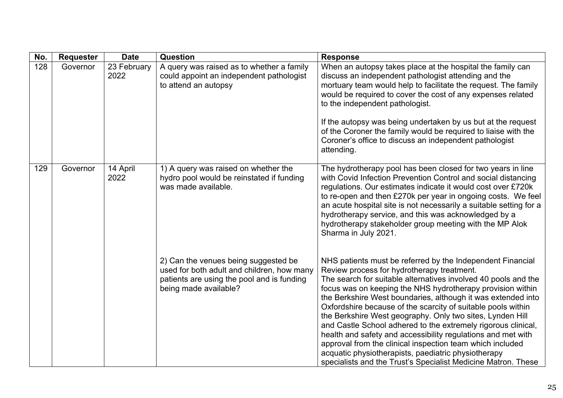| No. | <b>Requester</b> | <b>Date</b>         | <b>Question</b>                                                                                                                                           | <b>Response</b>                                                                                                                                                                                                                                                                                                                                                                                                                                                                                                                                                                                                                                                                                                                                             |
|-----|------------------|---------------------|-----------------------------------------------------------------------------------------------------------------------------------------------------------|-------------------------------------------------------------------------------------------------------------------------------------------------------------------------------------------------------------------------------------------------------------------------------------------------------------------------------------------------------------------------------------------------------------------------------------------------------------------------------------------------------------------------------------------------------------------------------------------------------------------------------------------------------------------------------------------------------------------------------------------------------------|
| 128 | Governor         | 23 February<br>2022 | A query was raised as to whether a family<br>could appoint an independent pathologist<br>to attend an autopsy                                             | When an autopsy takes place at the hospital the family can<br>discuss an independent pathologist attending and the<br>mortuary team would help to facilitate the request. The family<br>would be required to cover the cost of any expenses related<br>to the independent pathologist.<br>If the autopsy was being undertaken by us but at the request<br>of the Coroner the family would be required to liaise with the<br>Coroner's office to discuss an independent pathologist<br>attending.                                                                                                                                                                                                                                                            |
| 129 | Governor         | 14 April<br>2022    | 1) A query was raised on whether the<br>hydro pool would be reinstated if funding<br>was made available.                                                  | The hydrotherapy pool has been closed for two years in line<br>with Covid Infection Prevention Control and social distancing<br>regulations. Our estimates indicate it would cost over £720k<br>to re-open and then £270k per year in ongoing costs. We feel<br>an acute hospital site is not necessarily a suitable setting for a<br>hydrotherapy service, and this was acknowledged by a<br>hydrotherapy stakeholder group meeting with the MP Alok<br>Sharma in July 2021.                                                                                                                                                                                                                                                                               |
|     |                  |                     | 2) Can the venues being suggested be<br>used for both adult and children, how many<br>patients are using the pool and is funding<br>being made available? | NHS patients must be referred by the Independent Financial<br>Review process for hydrotherapy treatment.<br>The search for suitable alternatives involved 40 pools and the<br>focus was on keeping the NHS hydrotherapy provision within<br>the Berkshire West boundaries, although it was extended into<br>Oxfordshire because of the scarcity of suitable pools within<br>the Berkshire West geography. Only two sites, Lynden Hill<br>and Castle School adhered to the extremely rigorous clinical,<br>health and safety and accessibility regulations and met with<br>approval from the clinical inspection team which included<br>acquatic physiotherapists, paediatric physiotherapy<br>specialists and the Trust's Specialist Medicine Matron. These |